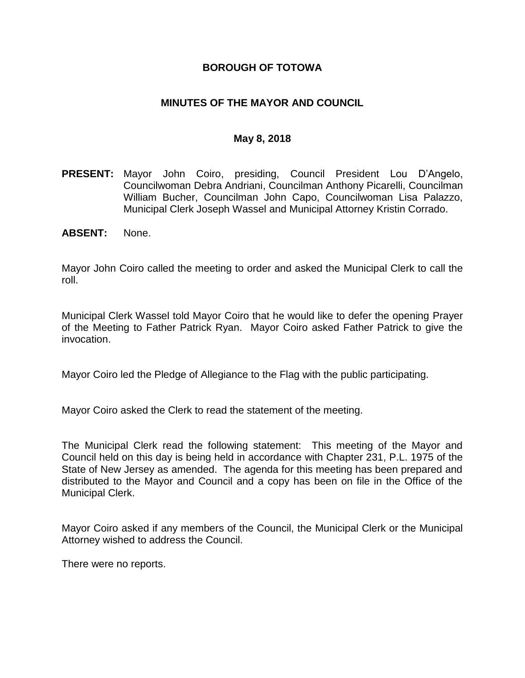### **BOROUGH OF TOTOWA**

### **MINUTES OF THE MAYOR AND COUNCIL**

#### **May 8, 2018**

- **PRESENT:** Mayor John Coiro, presiding, Council President Lou D'Angelo, Councilwoman Debra Andriani, Councilman Anthony Picarelli, Councilman William Bucher, Councilman John Capo, Councilwoman Lisa Palazzo, Municipal Clerk Joseph Wassel and Municipal Attorney Kristin Corrado.
- **ABSENT:** None.

Mayor John Coiro called the meeting to order and asked the Municipal Clerk to call the roll.

Municipal Clerk Wassel told Mayor Coiro that he would like to defer the opening Prayer of the Meeting to Father Patrick Ryan. Mayor Coiro asked Father Patrick to give the invocation.

Mayor Coiro led the Pledge of Allegiance to the Flag with the public participating.

Mayor Coiro asked the Clerk to read the statement of the meeting.

The Municipal Clerk read the following statement: This meeting of the Mayor and Council held on this day is being held in accordance with Chapter 231, P.L. 1975 of the State of New Jersey as amended. The agenda for this meeting has been prepared and distributed to the Mayor and Council and a copy has been on file in the Office of the Municipal Clerk.

Mayor Coiro asked if any members of the Council, the Municipal Clerk or the Municipal Attorney wished to address the Council.

There were no reports.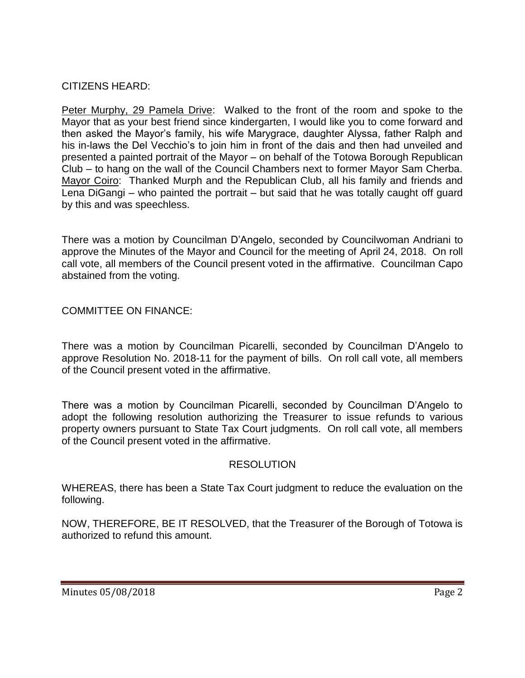# CITIZENS HEARD:

Peter Murphy, 29 Pamela Drive: Walked to the front of the room and spoke to the Mayor that as your best friend since kindergarten, I would like you to come forward and then asked the Mayor's family, his wife Marygrace, daughter Alyssa, father Ralph and his in-laws the Del Vecchio's to join him in front of the dais and then had unveiled and presented a painted portrait of the Mayor – on behalf of the Totowa Borough Republican Club – to hang on the wall of the Council Chambers next to former Mayor Sam Cherba. Mayor Coiro: Thanked Murph and the Republican Club, all his family and friends and Lena DiGangi – who painted the portrait – but said that he was totally caught off guard by this and was speechless.

There was a motion by Councilman D'Angelo, seconded by Councilwoman Andriani to approve the Minutes of the Mayor and Council for the meeting of April 24, 2018. On roll call vote, all members of the Council present voted in the affirmative. Councilman Capo abstained from the voting.

COMMITTEE ON FINANCE:

There was a motion by Councilman Picarelli, seconded by Councilman D'Angelo to approve Resolution No. 2018-11 for the payment of bills. On roll call vote, all members of the Council present voted in the affirmative.

There was a motion by Councilman Picarelli, seconded by Councilman D'Angelo to adopt the following resolution authorizing the Treasurer to issue refunds to various property owners pursuant to State Tax Court judgments. On roll call vote, all members of the Council present voted in the affirmative.

# RESOLUTION

WHEREAS, there has been a State Tax Court judgment to reduce the evaluation on the following.

NOW, THEREFORE, BE IT RESOLVED, that the Treasurer of the Borough of Totowa is authorized to refund this amount.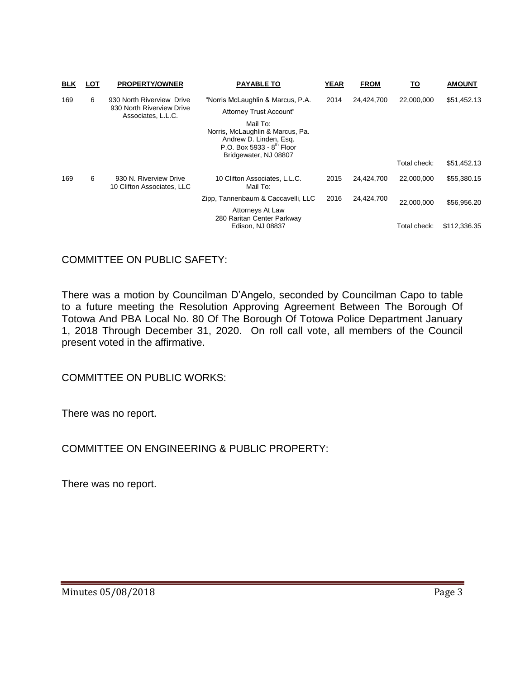| <b>BLK</b> | LOT | <b>PROPERTY/OWNER</b>                                                        | <b>PAYABLE TO</b>                                                                                                                      | <b>YEAR</b>        | <b>FROM</b> | <u>TO</u>    | <b>AMOUNT</b> |
|------------|-----|------------------------------------------------------------------------------|----------------------------------------------------------------------------------------------------------------------------------------|--------------------|-------------|--------------|---------------|
| 169        | 6   | 930 North Riverview Drive<br>930 North Riverview Drive<br>Associates, L.L.C. | "Norris McLaughlin & Marcus, P.A.<br>Attorney Trust Account"<br>Mail To:<br>Norris, McLaughlin & Marcus, Pa.<br>Andrew D. Linden, Esq. | 2014               | 24,424,700  | 22,000,000   | \$51,452.13   |
|            |     |                                                                              | P.O. Box 5933 - $8^{th}$ Floor<br>Bridgewater, NJ 08807                                                                                |                    |             | Total check: | \$51,452.13   |
| 169        | 6   | 930 N. Riverview Drive<br>10 Clifton Associates, LLC                         | 10 Clifton Associates, L.L.C.<br>Mail To:                                                                                              | 2015               | 24,424,700  | 22,000,000   | \$55,380.15   |
|            |     |                                                                              | Zipp, Tannenbaum & Caccavelli, LLC                                                                                                     | 2016<br>24,424,700 | 22.000.000  | \$56,956.20  |               |
|            |     |                                                                              | Attorneys At Law<br>280 Raritan Center Parkway<br>Edison, NJ 08837                                                                     |                    |             | Total check: | \$112,336.35  |

COMMITTEE ON PUBLIC SAFETY:

There was a motion by Councilman D'Angelo, seconded by Councilman Capo to table to a future meeting the Resolution Approving Agreement Between The Borough Of Totowa And PBA Local No. 80 Of The Borough Of Totowa Police Department January 1, 2018 Through December 31, 2020. On roll call vote, all members of the Council present voted in the affirmative.

COMMITTEE ON PUBLIC WORKS:

There was no report.

COMMITTEE ON ENGINEERING & PUBLIC PROPERTY:

There was no report.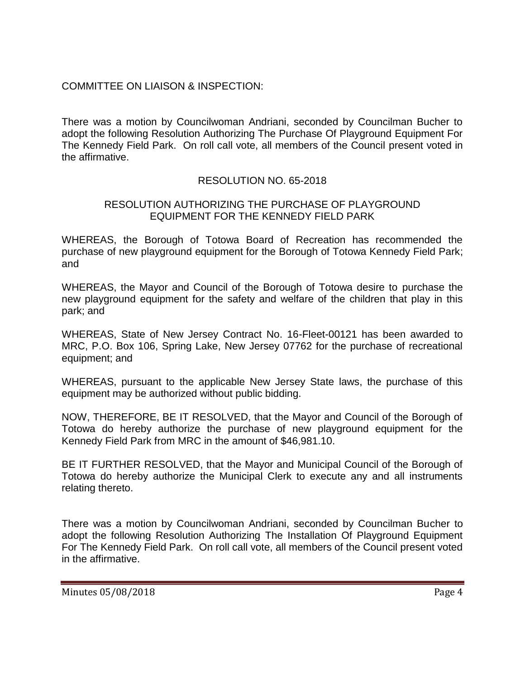# COMMITTEE ON LIAISON & INSPECTION:

There was a motion by Councilwoman Andriani, seconded by Councilman Bucher to adopt the following Resolution Authorizing The Purchase Of Playground Equipment For The Kennedy Field Park. On roll call vote, all members of the Council present voted in the affirmative.

# RESOLUTION NO. 65-2018

### RESOLUTION AUTHORIZING THE PURCHASE OF PLAYGROUND EQUIPMENT FOR THE KENNEDY FIELD PARK

WHEREAS, the Borough of Totowa Board of Recreation has recommended the purchase of new playground equipment for the Borough of Totowa Kennedy Field Park; and

WHEREAS, the Mayor and Council of the Borough of Totowa desire to purchase the new playground equipment for the safety and welfare of the children that play in this park; and

WHEREAS, State of New Jersey Contract No. 16-Fleet-00121 has been awarded to MRC, P.O. Box 106, Spring Lake, New Jersey 07762 for the purchase of recreational equipment; and

WHEREAS, pursuant to the applicable New Jersey State laws, the purchase of this equipment may be authorized without public bidding.

NOW, THEREFORE, BE IT RESOLVED, that the Mayor and Council of the Borough of Totowa do hereby authorize the purchase of new playground equipment for the Kennedy Field Park from MRC in the amount of \$46,981.10.

BE IT FURTHER RESOLVED, that the Mayor and Municipal Council of the Borough of Totowa do hereby authorize the Municipal Clerk to execute any and all instruments relating thereto.

There was a motion by Councilwoman Andriani, seconded by Councilman Bucher to adopt the following Resolution Authorizing The Installation Of Playground Equipment For The Kennedy Field Park. On roll call vote, all members of the Council present voted in the affirmative.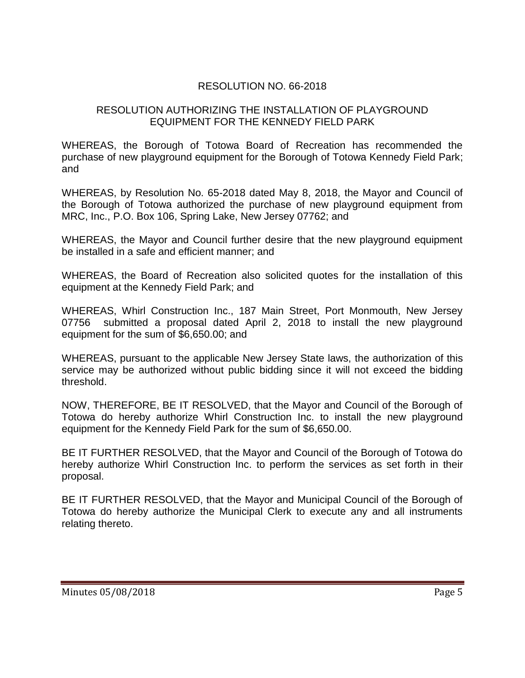# RESOLUTION NO. 66-2018

### RESOLUTION AUTHORIZING THE INSTALLATION OF PLAYGROUND EQUIPMENT FOR THE KENNEDY FIELD PARK

WHEREAS, the Borough of Totowa Board of Recreation has recommended the purchase of new playground equipment for the Borough of Totowa Kennedy Field Park; and

WHEREAS, by Resolution No. 65-2018 dated May 8, 2018, the Mayor and Council of the Borough of Totowa authorized the purchase of new playground equipment from MRC, Inc., P.O. Box 106, Spring Lake, New Jersey 07762; and

WHEREAS, the Mayor and Council further desire that the new playground equipment be installed in a safe and efficient manner; and

WHEREAS, the Board of Recreation also solicited quotes for the installation of this equipment at the Kennedy Field Park; and

WHEREAS, Whirl Construction Inc., 187 Main Street, Port Monmouth, New Jersey 07756 submitted a proposal dated April 2, 2018 to install the new playground equipment for the sum of \$6,650.00; and

WHEREAS, pursuant to the applicable New Jersey State laws, the authorization of this service may be authorized without public bidding since it will not exceed the bidding threshold.

NOW, THEREFORE, BE IT RESOLVED, that the Mayor and Council of the Borough of Totowa do hereby authorize Whirl Construction Inc. to install the new playground equipment for the Kennedy Field Park for the sum of \$6,650.00.

BE IT FURTHER RESOLVED, that the Mayor and Council of the Borough of Totowa do hereby authorize Whirl Construction Inc. to perform the services as set forth in their proposal.

BE IT FURTHER RESOLVED, that the Mayor and Municipal Council of the Borough of Totowa do hereby authorize the Municipal Clerk to execute any and all instruments relating thereto.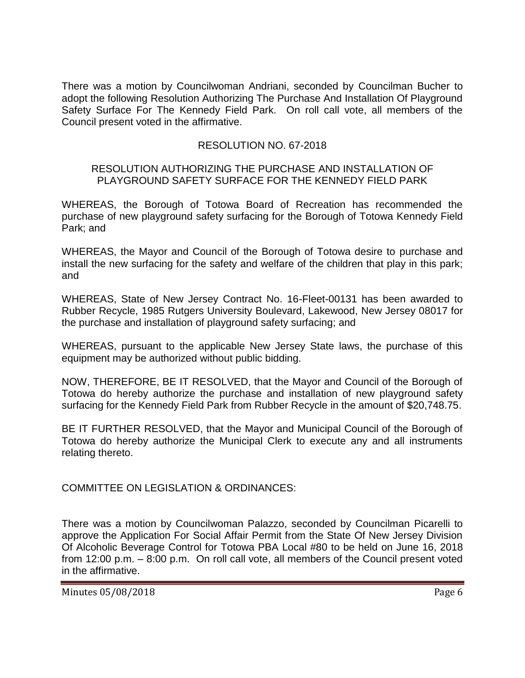There was a motion by Councilwoman Andriani, seconded by Councilman Bucher to adopt the following Resolution Authorizing The Purchase And Installation Of Playground Safety Surface For The Kennedy Field Park. On roll call vote, all members of the Council present voted in the affirmative.

# RESOLUTION NO. 67-2018

#### RESOLUTION AUTHORIZING THE PURCHASE AND INSTALLATION OF PLAYGROUND SAFETY SURFACE FOR THE KENNEDY FIELD PARK

WHEREAS, the Borough of Totowa Board of Recreation has recommended the purchase of new playground safety surfacing for the Borough of Totowa Kennedy Field Park; and

WHEREAS, the Mayor and Council of the Borough of Totowa desire to purchase and install the new surfacing for the safety and welfare of the children that play in this park; and

WHEREAS, State of New Jersey Contract No. 16-Fleet-00131 has been awarded to Rubber Recycle, 1985 Rutgers University Boulevard, Lakewood, New Jersey 08017 for the purchase and installation of playground safety surfacing; and

WHEREAS, pursuant to the applicable New Jersey State laws, the purchase of this equipment may be authorized without public bidding.

NOW, THEREFORE, BE IT RESOLVED, that the Mayor and Council of the Borough of Totowa do hereby authorize the purchase and installation of new playground safety surfacing for the Kennedy Field Park from Rubber Recycle in the amount of \$20,748.75.

BE IT FURTHER RESOLVED, that the Mayor and Municipal Council of the Borough of Totowa do hereby authorize the Municipal Clerk to execute any and all instruments relating thereto.

COMMITTEE ON LEGISLATION & ORDINANCES:

There was a motion by Councilwoman Palazzo, seconded by Councilman Picarelli to approve the Application For Social Affair Permit from the State Of New Jersey Division Of Alcoholic Beverage Control for Totowa PBA Local #80 to be held on June 16, 2018 from 12:00 p.m. – 8:00 p.m. On roll call vote, all members of the Council present voted in the affirmative.